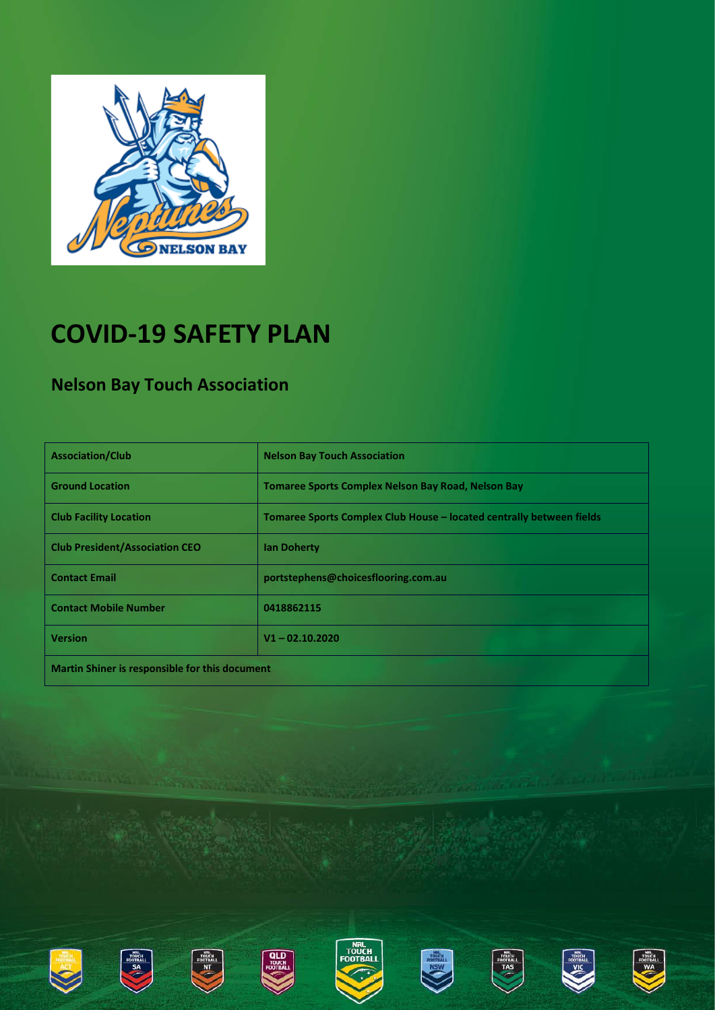

## **COVID-19 SAFETY PLAN**

#### **Nelson Bay Touch Association**

| <b>Association/Club</b>                        | <b>Nelson Bay Touch Association</b>                                  |  |
|------------------------------------------------|----------------------------------------------------------------------|--|
| <b>Ground Location</b>                         | <b>Tomaree Sports Complex Nelson Bay Road, Nelson Bay</b>            |  |
| <b>Club Facility Location</b>                  | Tomaree Sports Complex Club House - located centrally between fields |  |
| <b>Club President/Association CEO</b>          | <b>Ian Doherty</b>                                                   |  |
| <b>Contact Email</b>                           | portstephens@choicesflooring.com.au                                  |  |
| <b>Contact Mobile Number</b>                   | 0418862115                                                           |  |
| <b>Version</b>                                 | $V1 - 02.10.2020$                                                    |  |
| Martin Shiner is responsible for this document |                                                                      |  |















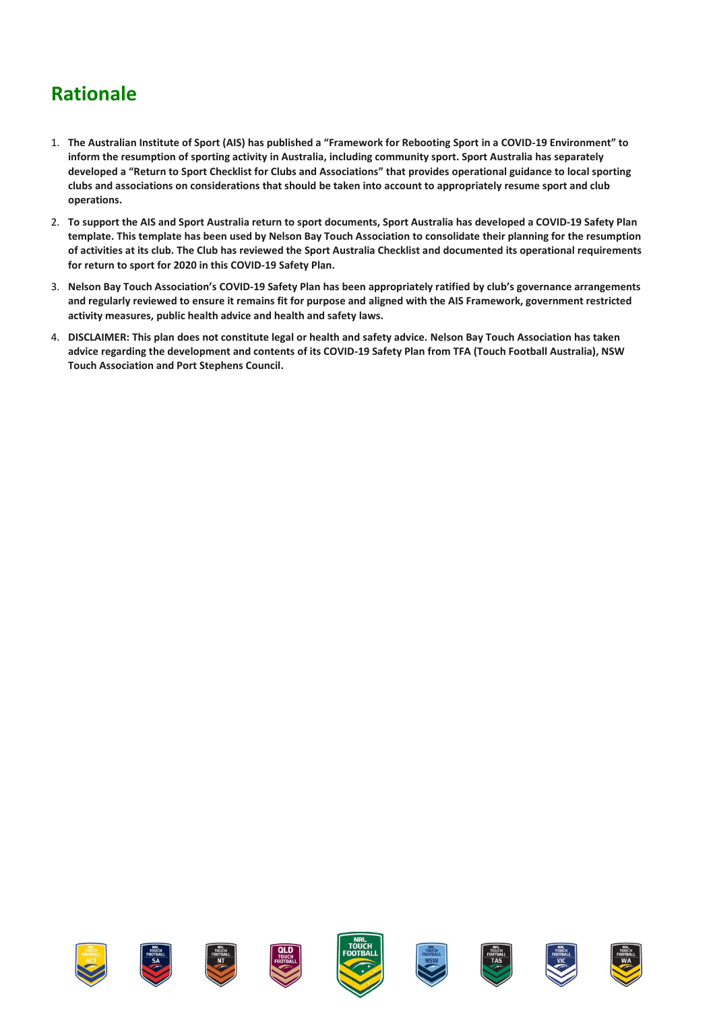### **Rationale**

- 1. **The Australian Institute of Sport (AIS) has published a "Framework for Rebooting Sport in a COVID-19 Environment" to inform the resumption of sporting activity in Australia, including community sport. Sport Australia has separately developed a "Return to Sport Checklist for Clubs and Associations" that provides operational guidance to local sporting clubs and associations on considerations that should be taken into account to appropriately resume sport and club operations.**
- 2. **To support the AIS and Sport Australia return to sport documents, Sport Australia has developed a COVID-19 Safety Plan template. This template has been used by Nelson Bay Touch Association to consolidate their planning for the resumption of activities at its club. The Club has reviewed the Sport Australia Checklist and documented its operational requirements for return to sport for 2020 in this COVID-19 Safety Plan.**
- 3. **Nelson Bay Touch Association's COVID-19 Safety Plan has been appropriately ratified by club's governance arrangements and regularly reviewed to ensure it remains fit for purpose and aligned with the AIS Framework, government restricted activity measures, public health advice and health and safety laws.**
- 4. **DISCLAIMER: This plan does not constitute legal or health and safety advice. Nelson Bay Touch Association has taken advice regarding the development and contents of its COVID-19 Safety Plan from TFA (Touch Football Australia), NSW Touch Association and Port Stephens Council.**















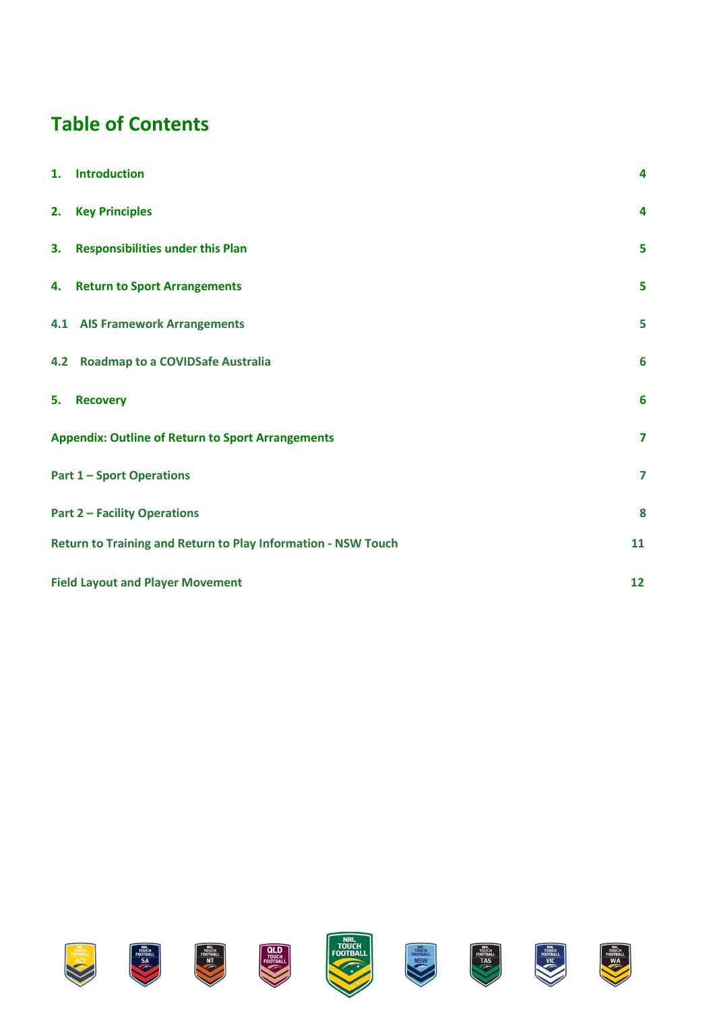### **Table of Contents**

| 1. | <b>Introduction</b>                                                 | 4                       |  |
|----|---------------------------------------------------------------------|-------------------------|--|
|    | 2. Key Principles                                                   | 4                       |  |
|    | 3. Responsibilities under this Plan                                 | 5                       |  |
|    | 4. Return to Sport Arrangements                                     | 5                       |  |
|    | <b>4.1 AIS Framework Arrangements</b>                               | 5                       |  |
|    | 4.2 Roadmap to a COVIDSafe Australia                                | $6\phantom{1}6$         |  |
| 5. | <b>Recovery</b>                                                     | 6                       |  |
|    | <b>Appendix: Outline of Return to Sport Arrangements</b>            | $\overline{\mathbf{z}}$ |  |
|    | <b>Part 1-Sport Operations</b><br>$\overline{\mathbf{z}}$           |                         |  |
|    | <b>Part 2 - Facility Operations</b><br>8                            |                         |  |
|    | Return to Training and Return to Play Information - NSW Touch<br>11 |                         |  |
|    | <b>Field Layout and Player Movement</b><br>12                       |                         |  |

















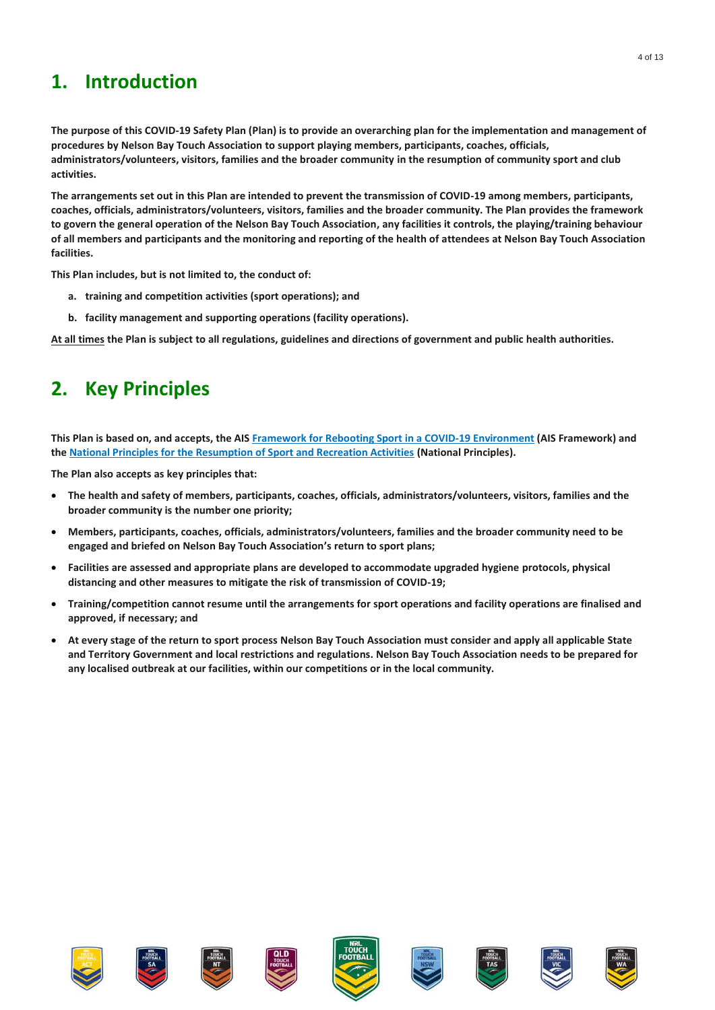#### <span id="page-3-0"></span>**1. Introduction**

**The purpose of this COVID-19 Safety Plan (Plan) is to provide an overarching plan for the implementation and management of procedures by Nelson Bay Touch Association to support playing members, participants, coaches, officials, administrators/volunteers, visitors, families and the broader community in the resumption of community sport and club activities.**

**The arrangements set out in this Plan are intended to prevent the transmission of COVID-19 among members, participants, coaches, officials, administrators/volunteers, visitors, families and the broader community. The Plan provides the framework to govern the general operation of the Nelson Bay Touch Association, any facilities it controls, the playing/training behaviour of all members and participants and the monitoring and reporting of the health of attendees at Nelson Bay Touch Association facilities.**

**This Plan includes, but is not limited to, the conduct of:**

- **a. training and competition activities (sport operations); and**
- **b. facility management and supporting operations (facility operations).**

<span id="page-3-1"></span>**At all times the Plan is subject to all regulations, guidelines and directions of government and public health authorities.** 

#### **2. Key Principles**

**This Plan is based on, and accepts, the AIS [Framework for Rebooting Sport in a COVID-19 Environment](https://ais.gov.au/__data/assets/pdf_file/0006/730374/35845_AIS-Framework-for-Rebooting-Sport-Summary.pdf) (AIS Framework) and the [National Principles for the Resumption of Sport and Recreation Activities](https://www.health.gov.au/sites/default/files/documents/2020/05/australian-institute-of-sport-ais-framework-for-rebooting-sport-in-a-covid-19-environment.pdf) (National Principles).** 

**The Plan also accepts as key principles that:**

- **The health and safety of members, participants, coaches, officials, administrators/volunteers, visitors, families and the broader community is the number one priority;**
- **Members, participants, coaches, officials, administrators/volunteers, families and the broader community need to be engaged and briefed on Nelson Bay Touch Association's return to sport plans;**
- **Facilities are assessed and appropriate plans are developed to accommodate upgraded hygiene protocols, physical distancing and other measures to mitigate the risk of transmission of COVID-19;**
- **Training/competition cannot resume until the arrangements for sport operations and facility operations are finalised and approved, if necessary; and**
- **At every stage of the return to sport process Nelson Bay Touch Association must consider and apply all applicable State and Territory Government and local restrictions and regulations. Nelson Bay Touch Association needs to be prepared for any localised outbreak at our facilities, within our competitions or in the local community.**

















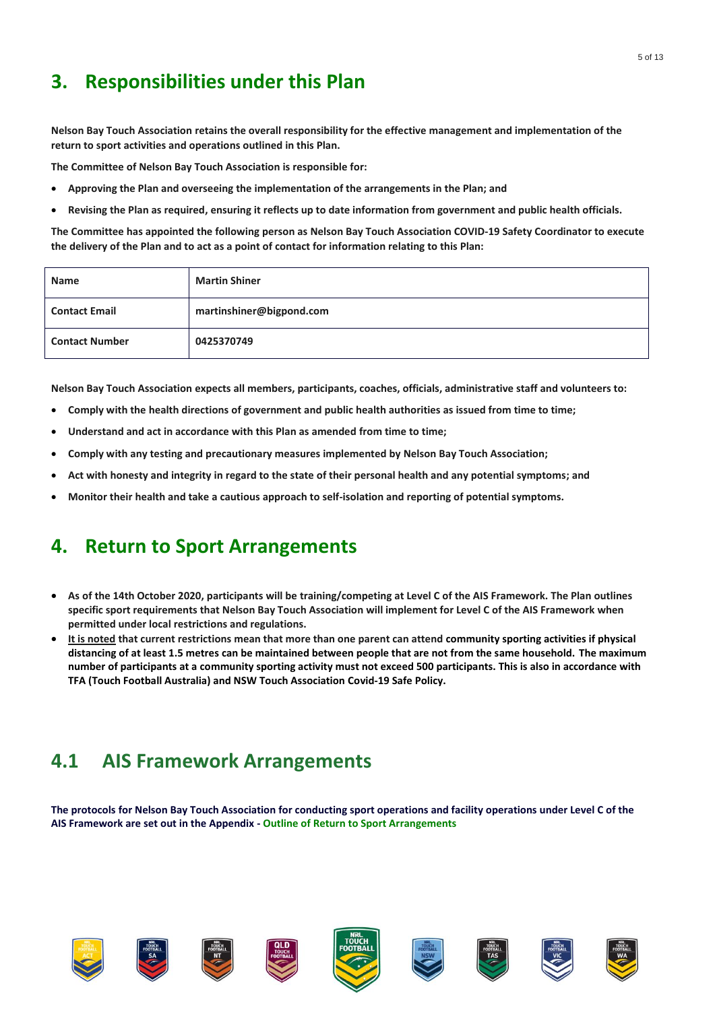#### <span id="page-4-0"></span>**3. Responsibilities under this Plan**

**Nelson Bay Touch Association retains the overall responsibility for the effective management and implementation of the return to sport activities and operations outlined in this Plan.** 

**The Committee of Nelson Bay Touch Association is responsible for:**

- **Approving the Plan and overseeing the implementation of the arrangements in the Plan; and**
- **Revising the Plan as required, ensuring it reflects up to date information from government and public health officials.**

**The Committee has appointed the following person as Nelson Bay Touch Association COVID-19 Safety Coordinator to execute the delivery of the Plan and to act as a point of contact for information relating to this Plan:**

| <b>Name</b>           | <b>Martin Shiner</b>     |
|-----------------------|--------------------------|
| <b>Contact Email</b>  | martinshiner@bigpond.com |
| <b>Contact Number</b> | 0425370749               |

**Nelson Bay Touch Association expects all members, participants, coaches, officials, administrative staff and volunteers to:**

- **Comply with the health directions of government and public health authorities as issued from time to time;**
- **Understand and act in accordance with this Plan as amended from time to time;**
- **Comply with any testing and precautionary measures implemented by Nelson Bay Touch Association;**
- **Act with honesty and integrity in regard to the state of their personal health and any potential symptoms; and**
- <span id="page-4-1"></span>• **Monitor their health and take a cautious approach to self-isolation and reporting of potential symptoms.**

#### **4. Return to Sport Arrangements**

- **As of the 14th October 2020, participants will be training/competing at Level C of the AIS Framework. The Plan outlines specific sport requirements that Nelson Bay Touch Association will implement for Level C of the AIS Framework when permitted under local restrictions and regulations.**
- **It is noted that current restrictions mean that more than one parent can attend community sporting activities if physical distancing of at least 1.5 metres can be maintained between people that are not from the same household. The maximum number of participants at a community sporting activity must not exceed 500 participants. This is also in accordance with TFA (Touch Football Australia) and NSW Touch Association Covid-19 Safe Policy.**

#### <span id="page-4-2"></span>**4.1 AIS Framework Arrangements**

**The protocols for Nelson Bay Touch Association for conducting sport operations and facility operations under Level C of the AIS Framework are set out in the Appendix - Outline of Return to Sport Arrangements** 

















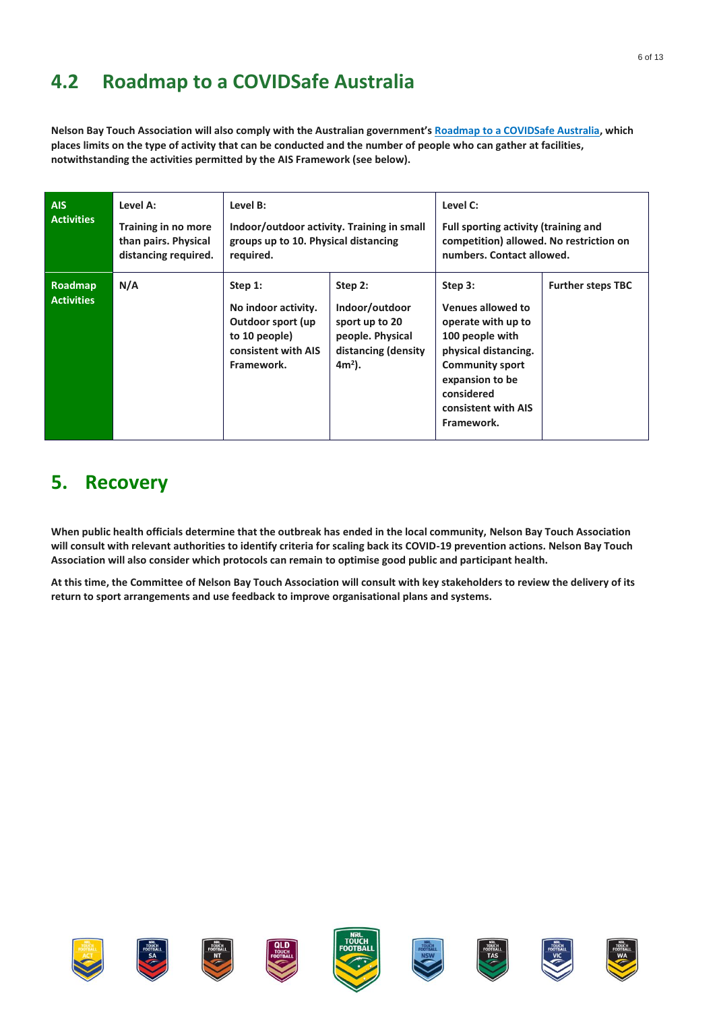### <span id="page-5-0"></span>**4.2 Roadmap to a COVIDSafe Australia**

**Nelson Bay Touch Association will also comply with the Australian government's [Roadmap to a COVIDSafe Australia,](https://www.pm.gov.au/sites/default/files/files/three-step-framework-covidsafe-australia.pdf) which places limits on the type of activity that can be conducted and the number of people who can gather at facilities, notwithstanding the activities permitted by the AIS Framework (see below).**

| AIS.<br><b>Activities</b>           | Level A:<br>Training in no more<br>than pairs. Physical<br>distancing required. | Level B:<br>required.                                                                                     | Level C:<br>Indoor/outdoor activity. Training in small<br>Full sporting activity (training and<br>competition) allowed. No restriction on<br>groups up to 10. Physical distancing<br>numbers. Contact allowed. |                                                                                                                                                                                               |                          |
|-------------------------------------|---------------------------------------------------------------------------------|-----------------------------------------------------------------------------------------------------------|----------------------------------------------------------------------------------------------------------------------------------------------------------------------------------------------------------------|-----------------------------------------------------------------------------------------------------------------------------------------------------------------------------------------------|--------------------------|
| <b>Roadmap</b><br><b>Activities</b> | N/A                                                                             | Step 1:<br>No indoor activity.<br>Outdoor sport (up<br>to 10 people)<br>consistent with AIS<br>Framework. | Step 2:<br>Indoor/outdoor<br>sport up to 20<br>people. Physical<br>distancing (density<br>$4m2$ ).                                                                                                             | Step 3:<br>Venues allowed to<br>operate with up to<br>100 people with<br>physical distancing.<br><b>Community sport</b><br>expansion to be<br>considered<br>consistent with AIS<br>Framework. | <b>Further steps TBC</b> |

#### <span id="page-5-1"></span>**5. Recovery**

**When public health officials determine that the outbreak has ended in the local community, Nelson Bay Touch Association will consult with relevant authorities to identify criteria for scaling back its COVID-19 prevention actions. Nelson Bay Touch Association will also consider which protocols can remain to optimise good public and participant health.**

**At this time, the Committee of Nelson Bay Touch Association will consult with key stakeholders to review the delivery of its return to sport arrangements and use feedback to improve organisational plans and systems.**

















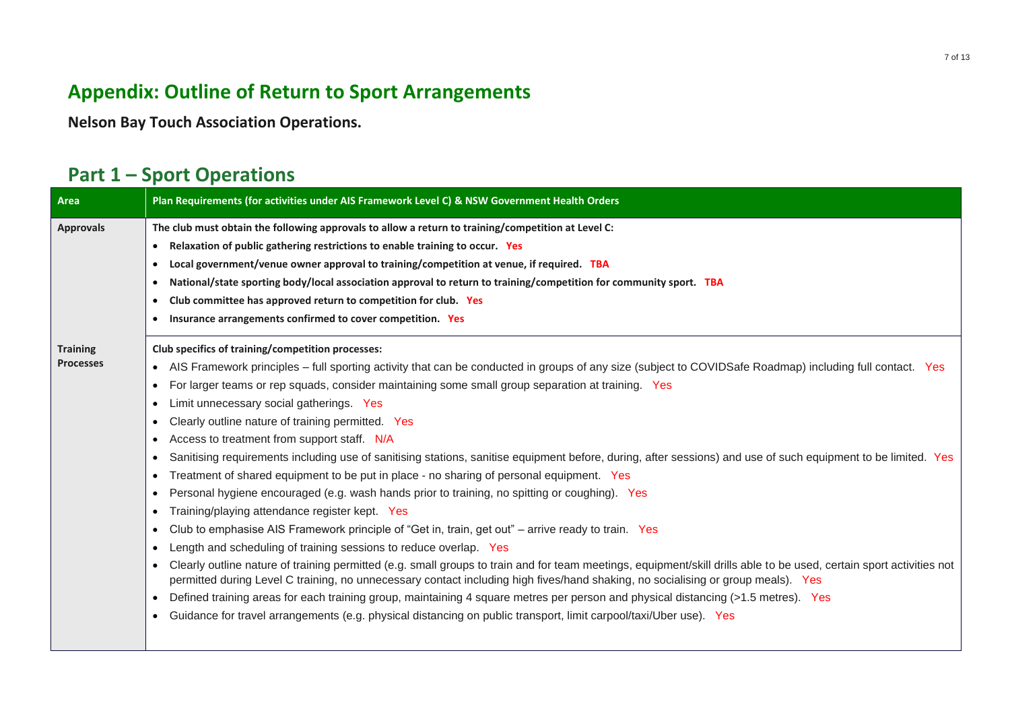### **Appendix: Outline of Return to Sport Arrangements**

**Nelson Bay Touch Association Operations.**

#### **Part 1 – Sport Operations**

<span id="page-6-1"></span><span id="page-6-0"></span>

| Area             | Plan Requirements (for activities under AIS Framework Level C) & NSW Government Health Orders                                                                                                                                                                                                            |
|------------------|----------------------------------------------------------------------------------------------------------------------------------------------------------------------------------------------------------------------------------------------------------------------------------------------------------|
| <b>Approvals</b> | The club must obtain the following approvals to allow a return to training/competition at Level C:                                                                                                                                                                                                       |
|                  | Relaxation of public gathering restrictions to enable training to occur. Yes<br>$\bullet$                                                                                                                                                                                                                |
|                  | Local government/venue owner approval to training/competition at venue, if required. TBA                                                                                                                                                                                                                 |
|                  | National/state sporting body/local association approval to return to training/competition for community sport. TBA<br>$\bullet$                                                                                                                                                                          |
|                  | Club committee has approved return to competition for club. Yes                                                                                                                                                                                                                                          |
|                  | Insurance arrangements confirmed to cover competition. Yes                                                                                                                                                                                                                                               |
| <b>Training</b>  | Club specifics of training/competition processes:                                                                                                                                                                                                                                                        |
| <b>Processes</b> | • AIS Framework principles – full sporting activity that can be conducted in groups of any size (subject to COVIDSafe Roadmap) including full contact. Yes                                                                                                                                               |
|                  | For larger teams or rep squads, consider maintaining some small group separation at training. Yes                                                                                                                                                                                                        |
|                  | Limit unnecessary social gatherings. Yes                                                                                                                                                                                                                                                                 |
|                  | Clearly outline nature of training permitted. Yes                                                                                                                                                                                                                                                        |
|                  | Access to treatment from support staff. N/A                                                                                                                                                                                                                                                              |
|                  | Sanitising requirements including use of sanitising stations, sanitise equipment before, during, after sessions) and use of such equipment to be limited. Yes                                                                                                                                            |
|                  | Treatment of shared equipment to be put in place - no sharing of personal equipment. Yes                                                                                                                                                                                                                 |
|                  | Personal hygiene encouraged (e.g. wash hands prior to training, no spitting or coughing). Yes                                                                                                                                                                                                            |
|                  | Training/playing attendance register kept. Yes<br>$\bullet$                                                                                                                                                                                                                                              |
|                  | Club to emphasise AIS Framework principle of "Get in, train, get out" - arrive ready to train. Yes                                                                                                                                                                                                       |
|                  | Length and scheduling of training sessions to reduce overlap. Yes                                                                                                                                                                                                                                        |
|                  | Clearly outline nature of training permitted (e.g. small groups to train and for team meetings, equipment/skill drills able to be used, certain sport activities not<br>permitted during Level C training, no unnecessary contact including high fives/hand shaking, no socialising or group meals). Yes |
|                  | Defined training areas for each training group, maintaining 4 square metres per person and physical distancing (>1.5 metres). Yes                                                                                                                                                                        |
|                  | Guidance for travel arrangements (e.g. physical distancing on public transport, limit carpool/taxi/Uber use). Yes                                                                                                                                                                                        |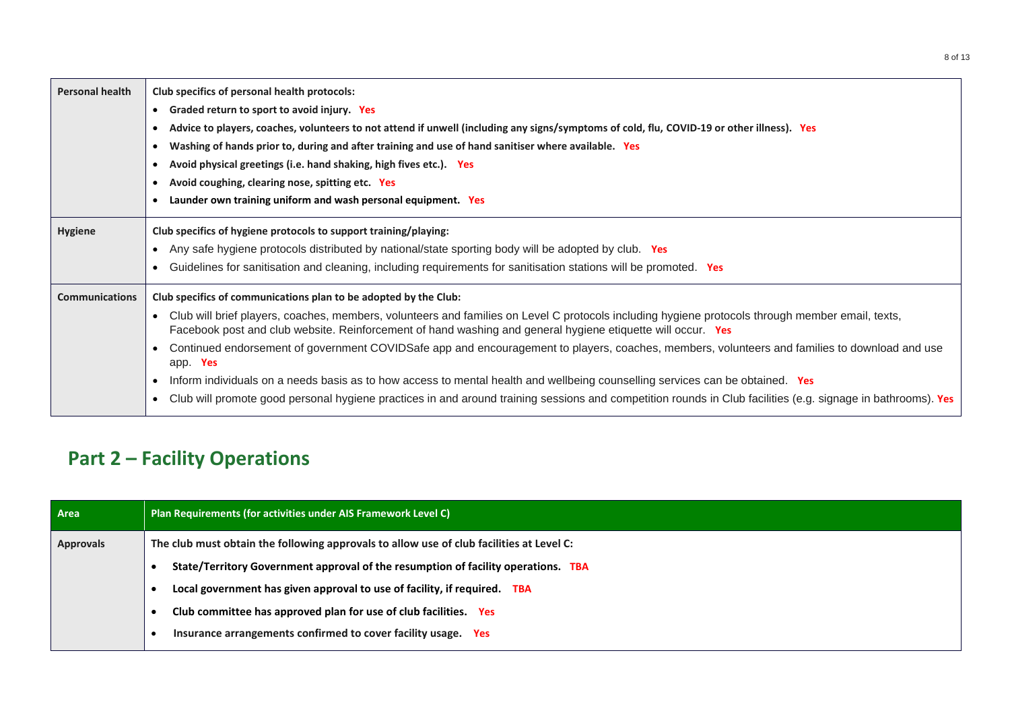| <b>Personal health</b> | Club specifics of personal health protocols:                                                                                                                                                                                                                                 |  |
|------------------------|------------------------------------------------------------------------------------------------------------------------------------------------------------------------------------------------------------------------------------------------------------------------------|--|
|                        | Graded return to sport to avoid injury. Yes<br>$\bullet$                                                                                                                                                                                                                     |  |
|                        | Advice to players, coaches, volunteers to not attend if unwell (including any signs/symptoms of cold, flu, COVID-19 or other illness). Yes                                                                                                                                   |  |
|                        | Washing of hands prior to, during and after training and use of hand sanitiser where available. Yes                                                                                                                                                                          |  |
|                        | Avoid physical greetings (i.e. hand shaking, high fives etc.). Yes                                                                                                                                                                                                           |  |
|                        | Avoid coughing, clearing nose, spitting etc. Yes                                                                                                                                                                                                                             |  |
|                        | Launder own training uniform and wash personal equipment. Yes                                                                                                                                                                                                                |  |
| Hygiene                | Club specifics of hygiene protocols to support training/playing:                                                                                                                                                                                                             |  |
|                        | Any safe hygiene protocols distributed by national/state sporting body will be adopted by club. Yes                                                                                                                                                                          |  |
|                        | Guidelines for sanitisation and cleaning, including requirements for sanitisation stations will be promoted. Yes                                                                                                                                                             |  |
| <b>Communications</b>  | Club specifics of communications plan to be adopted by the Club:                                                                                                                                                                                                             |  |
|                        | Club will brief players, coaches, members, volunteers and families on Level C protocols including hygiene protocols through member email, texts,<br>$\bullet$<br>Facebook post and club website. Reinforcement of hand washing and general hygiene etiquette will occur. Yes |  |
|                        | Continued endorsement of government COVIDSafe app and encouragement to players, coaches, members, volunteers and families to download and use<br>app. Yes                                                                                                                    |  |
|                        | Inform individuals on a needs basis as to how access to mental health and wellbeing counselling services can be obtained. Yes<br>$\bullet$                                                                                                                                   |  |
|                        | Club will promote good personal hygiene practices in and around training sessions and competition rounds in Club facilities (e.g. signage in bathrooms). Yes                                                                                                                 |  |

### **Part 2 – Facility Operations**

<span id="page-7-0"></span>

| Area             | Plan Requirements (for activities under AIS Framework Level C)                           |  |
|------------------|------------------------------------------------------------------------------------------|--|
| <b>Approvals</b> | The club must obtain the following approvals to allow use of club facilities at Level C: |  |
|                  | State/Territory Government approval of the resumption of facility operations. TBA        |  |
|                  | Local government has given approval to use of facility, if required. TBA                 |  |
|                  | Club committee has approved plan for use of club facilities. Yes                         |  |
|                  | Insurance arrangements confirmed to cover facility usage. Yes                            |  |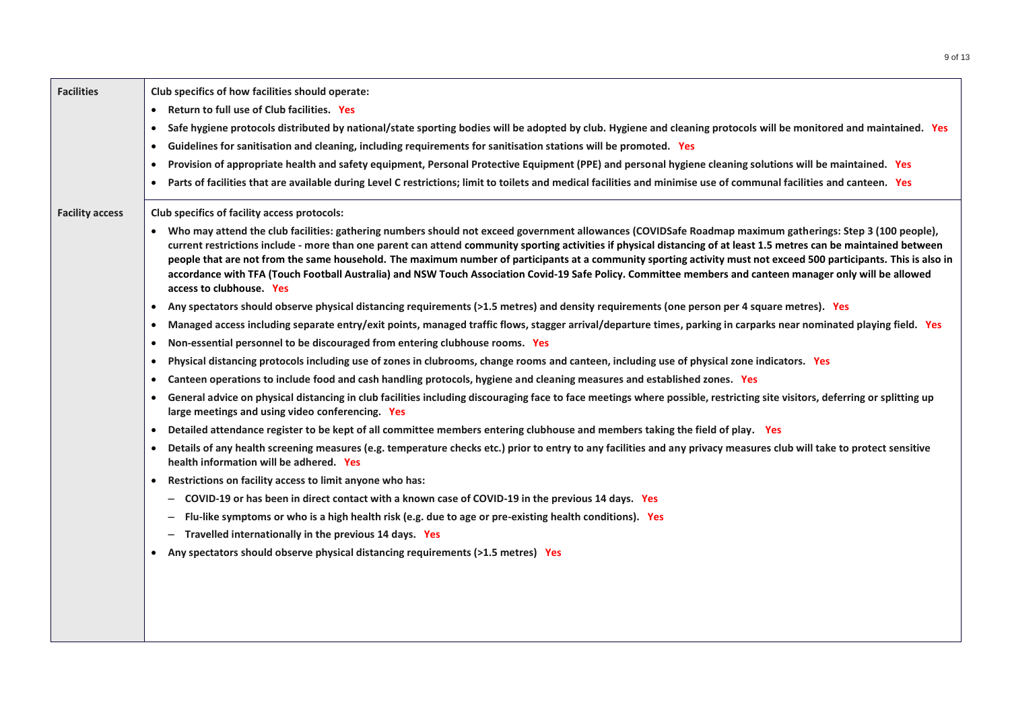| <b>Facilities</b>      | Club specifics of how facilities should operate:<br>Return to full use of Club facilities. Yes<br>$\bullet$<br>Safe hygiene protocols distributed by national/state sporting bodies will be adopted by club. Hygiene and cleaning protocols will be monitored and maintained. Yes<br>$\bullet$<br>Guidelines for sanitisation and cleaning, including requirements for sanitisation stations will be promoted. Yes<br>$\bullet$                                                                                                                                                                                                                                                                                                                                                                                                                                                                                                                                                                                                                                                                                                                                                                                                                                                                                                                                                                                                                                                                                                                                                                                                                                                                                                                                                                                                                                                   |
|------------------------|-----------------------------------------------------------------------------------------------------------------------------------------------------------------------------------------------------------------------------------------------------------------------------------------------------------------------------------------------------------------------------------------------------------------------------------------------------------------------------------------------------------------------------------------------------------------------------------------------------------------------------------------------------------------------------------------------------------------------------------------------------------------------------------------------------------------------------------------------------------------------------------------------------------------------------------------------------------------------------------------------------------------------------------------------------------------------------------------------------------------------------------------------------------------------------------------------------------------------------------------------------------------------------------------------------------------------------------------------------------------------------------------------------------------------------------------------------------------------------------------------------------------------------------------------------------------------------------------------------------------------------------------------------------------------------------------------------------------------------------------------------------------------------------------------------------------------------------------------------------------------------------|
|                        | Provision of appropriate health and safety equipment, Personal Protective Equipment (PPE) and personal hygiene cleaning solutions will be maintained. Yes<br>$\bullet$<br>Parts of facilities that are available during Level C restrictions; limit to toilets and medical facilities and minimise use of communal facilities and canteen. Yes<br>$\bullet$                                                                                                                                                                                                                                                                                                                                                                                                                                                                                                                                                                                                                                                                                                                                                                                                                                                                                                                                                                                                                                                                                                                                                                                                                                                                                                                                                                                                                                                                                                                       |
| <b>Facility access</b> | Club specifics of facility access protocols:<br>Who may attend the club facilities: gathering numbers should not exceed government allowances (COVIDSafe Roadmap maximum gatherings: Step 3 (100 people),<br>current restrictions include - more than one parent can attend community sporting activities if physical distancing of at least 1.5 metres can be maintained between<br>people that are not from the same household. The maximum number of participants at a community sporting activity must not exceed 500 participants. This is also in<br>accordance with TFA (Touch Football Australia) and NSW Touch Association Covid-19 Safe Policy. Committee members and canteen manager only will be allowed<br>access to clubhouse. Yes<br>Any spectators should observe physical distancing requirements (>1.5 metres) and density requirements (one person per 4 square metres). Yes<br>$\bullet$<br>Managed access including separate entry/exit points, managed traffic flows, stagger arrival/departure times, parking in carparks near nominated playing field. Yes<br>$\bullet$<br>Non-essential personnel to be discouraged from entering clubhouse rooms. Yes<br>$\bullet$<br>Physical distancing protocols including use of zones in clubrooms, change rooms and canteen, including use of physical zone indicators. Yes<br>$\bullet$<br>Canteen operations to include food and cash handling protocols, hygiene and cleaning measures and established zones. Yes<br>$\bullet$<br>General advice on physical distancing in club facilities including discouraging face to face meetings where possible, restricting site visitors, deferring or splitting up<br>large meetings and using video conferencing. Yes<br>Detailed attendance register to be kept of all committee members entering clubhouse and members taking the field of play. Yes<br>$\bullet$ |
|                        | Details of any health screening measures (e.g. temperature checks etc.) prior to entry to any facilities and any privacy measures club will take to protect sensitive<br>health information will be adhered. Yes<br>Restrictions on facility access to limit anyone who has:<br>$\bullet$<br>COVID-19 or has been in direct contact with a known case of COVID-19 in the previous 14 days. Yes<br>$\overline{\phantom{0}}$<br>Flu-like symptoms or who is a high health risk (e.g. due to age or pre-existing health conditions). Yes<br>$\overline{\phantom{0}}$<br>Travelled internationally in the previous 14 days. Yes<br>-<br>Any spectators should observe physical distancing requirements (>1.5 metres) Yes<br>$\bullet$                                                                                                                                                                                                                                                                                                                                                                                                                                                                                                                                                                                                                                                                                                                                                                                                                                                                                                                                                                                                                                                                                                                                                 |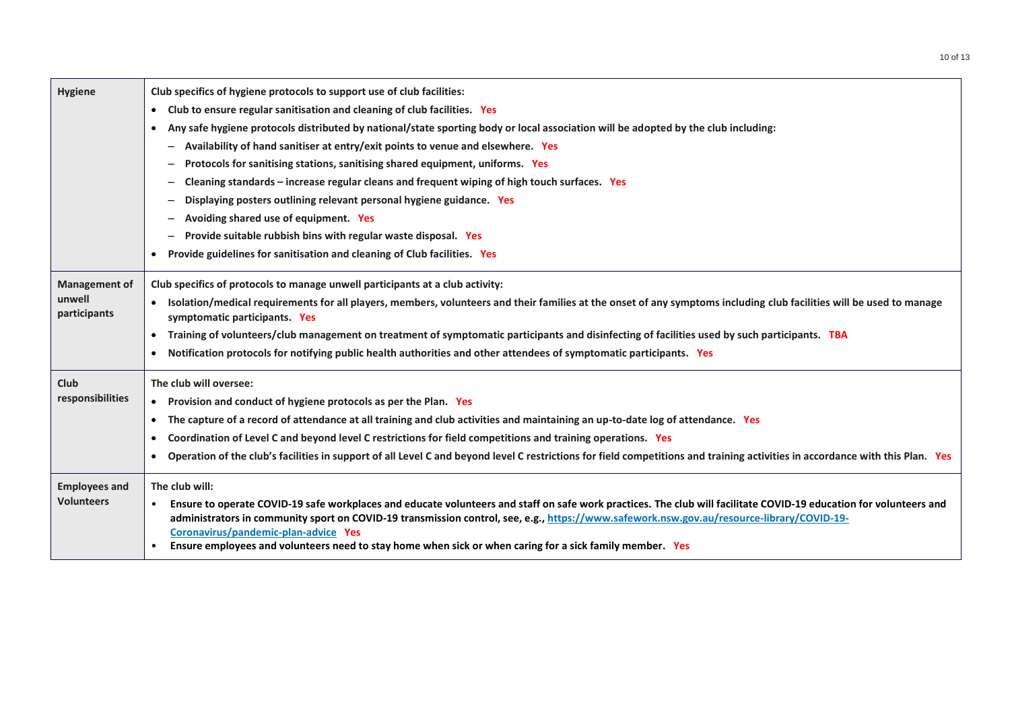| Hygiene                | Club specifics of hygiene protocols to support use of club facilities:                                                                                                                                                                                                                                                                                               |
|------------------------|----------------------------------------------------------------------------------------------------------------------------------------------------------------------------------------------------------------------------------------------------------------------------------------------------------------------------------------------------------------------|
|                        | Club to ensure regular sanitisation and cleaning of club facilities. Yes<br>$\bullet$                                                                                                                                                                                                                                                                                |
|                        | Any safe hygiene protocols distributed by national/state sporting body or local association will be adopted by the club including:<br>$\bullet$                                                                                                                                                                                                                      |
|                        | Availability of hand sanitiser at entry/exit points to venue and elsewhere. Yes<br>-                                                                                                                                                                                                                                                                                 |
|                        | Protocols for sanitising stations, sanitising shared equipment, uniforms. Yes                                                                                                                                                                                                                                                                                        |
|                        | Cleaning standards - increase regular cleans and frequent wiping of high touch surfaces. Yes                                                                                                                                                                                                                                                                         |
|                        | Displaying posters outlining relevant personal hygiene guidance. Yes                                                                                                                                                                                                                                                                                                 |
|                        | Avoiding shared use of equipment. Yes                                                                                                                                                                                                                                                                                                                                |
|                        | Provide suitable rubbish bins with regular waste disposal. Yes<br>-                                                                                                                                                                                                                                                                                                  |
|                        | Provide guidelines for sanitisation and cleaning of Club facilities. Yes                                                                                                                                                                                                                                                                                             |
| <b>Management of</b>   | Club specifics of protocols to manage unwell participants at a club activity:                                                                                                                                                                                                                                                                                        |
| unwell<br>participants | Isolation/medical requirements for all players, members, volunteers and their families at the onset of any symptoms including club facilities will be used to manage<br>symptomatic participants. Yes                                                                                                                                                                |
|                        | Training of volunteers/club management on treatment of symptomatic participants and disinfecting of facilities used by such participants. TBA<br>$\bullet$                                                                                                                                                                                                           |
|                        | Notification protocols for notifying public health authorities and other attendees of symptomatic participants. Yes                                                                                                                                                                                                                                                  |
| Club                   | The club will oversee:                                                                                                                                                                                                                                                                                                                                               |
| responsibilities       | • Provision and conduct of hygiene protocols as per the Plan. Yes                                                                                                                                                                                                                                                                                                    |
|                        | The capture of a record of attendance at all training and club activities and maintaining an up-to-date log of attendance. Yes                                                                                                                                                                                                                                       |
|                        | Coordination of Level C and beyond level C restrictions for field competitions and training operations. Yes<br>$\bullet$                                                                                                                                                                                                                                             |
|                        | Operation of the club's facilities in support of all Level C and beyond level C restrictions for field competitions and training activities in accordance with this Plan. Yes<br>$\bullet$                                                                                                                                                                           |
| <b>Employees and</b>   | The club will:                                                                                                                                                                                                                                                                                                                                                       |
| <b>Volunteers</b>      | Ensure to operate COVID-19 safe workplaces and educate volunteers and staff on safe work practices. The club will facilitate COVID-19 education for volunteers and<br>$\bullet$<br>administrators in community sport on COVID-19 transmission control, see, e.g., https://www.safework.nsw.gov.au/resource-library/COVID-19-<br>Coronavirus/pandemic-plan-advice Yes |
|                        | Ensure employees and volunteers need to stay home when sick or when caring for a sick family member. Yes<br>$\bullet$                                                                                                                                                                                                                                                |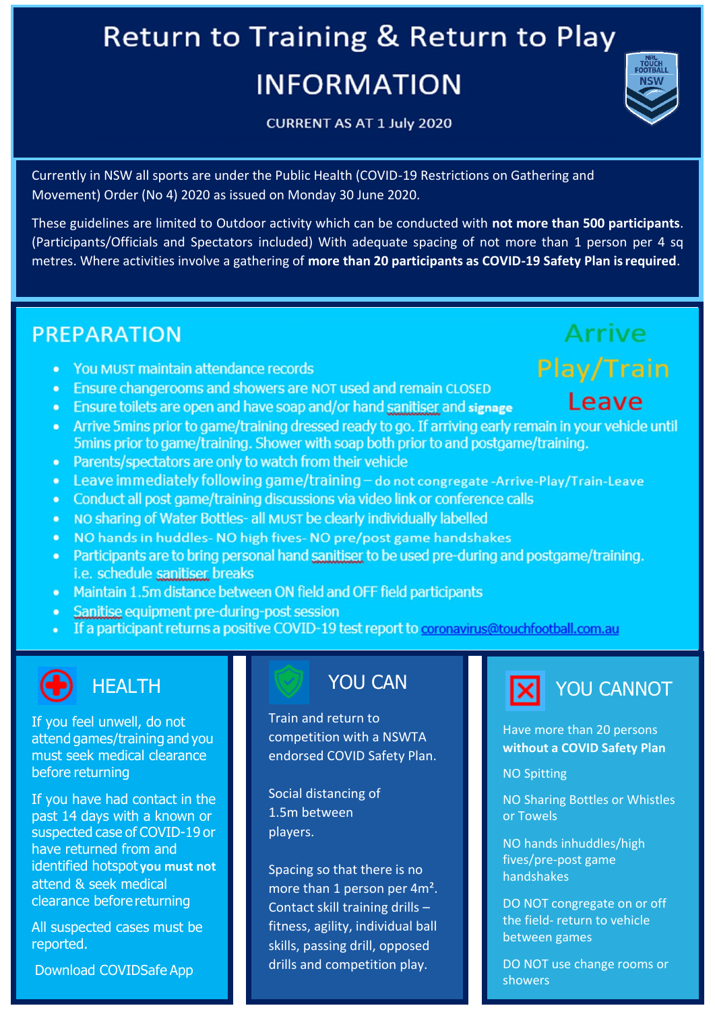# **Return to Training & Return to Play INFORMATION**

CURRENT AS AT 1 July 2020

Currently in NSW all sports are under the Public Health (COVID-19 Restrictions on Gathering and Movement) Order (No 4) 2020 as issued on Monday 30 June 2020.

These guidelines are limited to Outdoor activity which can be conducted with **not more than 500 participants**. (Participants/Officials and Spectators included) With adequate spacing of not more than 1 person per 4 sq metres. Where activities involve a gathering of **more than 20 participants as COVID-19 Safety Plan isrequired**.

#### **PREPARATION**

- You MUST maintain attendance records
- Ensure changerooms and showers are NOT used and remain CLOSED
- Ensure toilets are open and have soap and/or hand sanitiser and signage
- Arrive 5 mins prior to game/training dressed ready to go. If arriving early remain in your vehicle until 5mins prior to game/training. Shower with soap both prior to and postgame/training.
- Parents/spectators are only to watch from their vehicle  $\bullet$
- Leave immediately following game/training do not congregate -Arrive-Play/Train-Leave
- Conduct all post game/training discussions via video link or conference calls
- NO sharing of Water Bottles- all MUST be clearly individually labelled
- NO hands in huddles- NO high fives- NO pre/post game handshakes  $\bullet$
- Participants are to bring personal hand sanitiser to be used pre-during and postgame/training. *i.e.* schedule sanitiser breaks
- Maintain 1.5m distance between ON field and OFF field participants  $\bullet$
- Sanitise equipment pre-during-post session
- If a participant returns a positive COVID-19 test report to coronavirus@touchfootball.com.au

If you feel unwell, do not attend games/training and you must seek medical clearance before returning

If you have had contact in the past 14 days with a known or suspected case of COVID-19 or have returned from and identified hotspot **you must not**  attend & seek medical clearance before returning

All suspected cases must be reported.

Download COVIDSafe App

Train and return to competition with a NSWTA endorsed COVID Safety Plan.

Social distancing of 1.5m between players.

Spacing so that there is no more than 1 person per 4m². Contact skill training drills – fitness, agility, individual ball skills, passing drill, opposed drills and competition play.



Have more than 20 persons **without a COVID Safety Plan**

NO Spitting

NO Sharing Bottles or Whistles or Towels

NO hands inhuddles/high fives/pre-post game handshakes

DO NOT congregate on or off the field- return to vehicle between games

DO NOT use change rooms or showers

# Leave

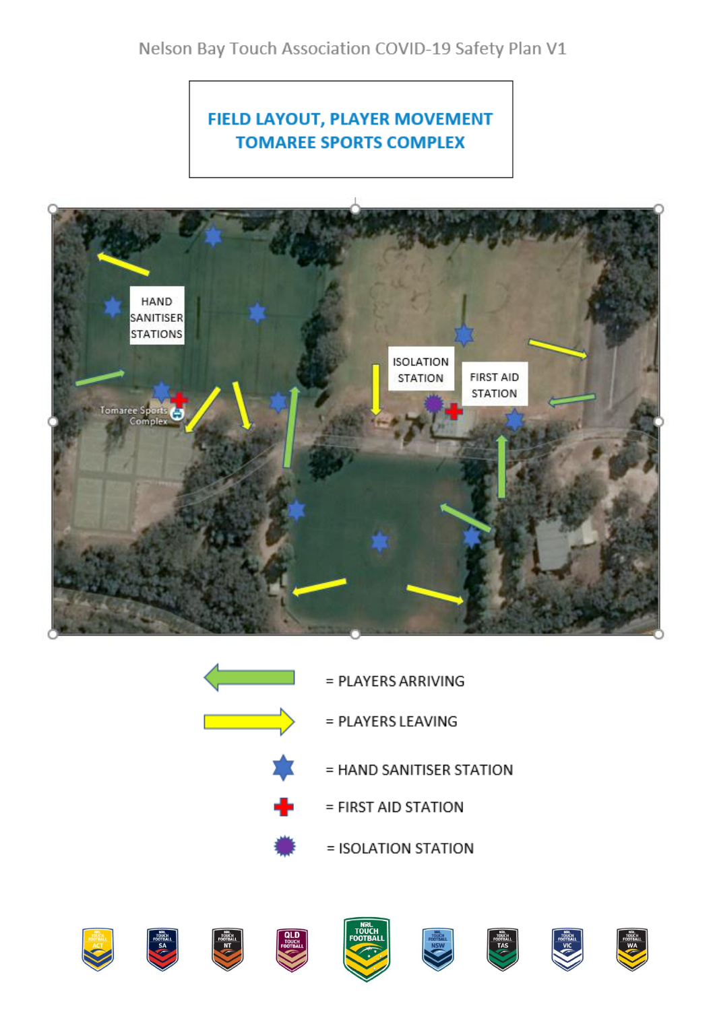#### FIELD LAYOUT, PLAYER MOVEMENT **TOMAREE SPORTS COMPLEX**



= PLAYERS ARRIVING = PLAYERS LEAVING = HAND SANITISER STATION = FIRST AID STATION = ISOLATION STATION